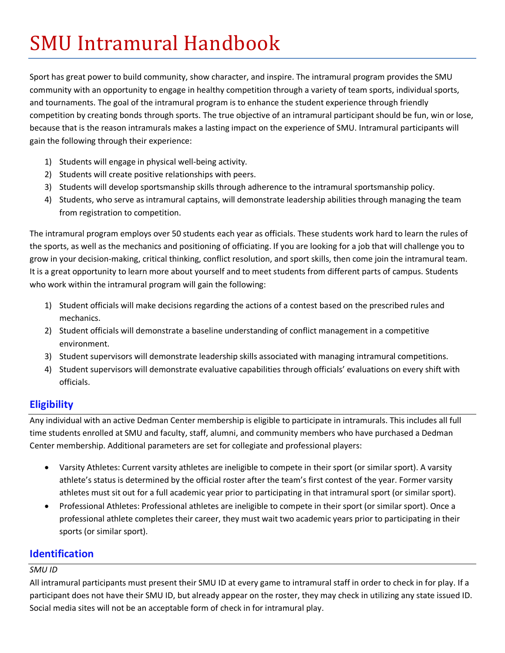# **SMU Intramural Handbook**

Sport has great power to build community, show character, and inspire. The intramural program provides the SMU community with an opportunity to engage in healthy competition through a variety of team sports, individual sports, and tournaments. The goal of the intramural program is to enhance the student experience through friendly competition by creating bonds through sports. The true objective of an intramural participant should be fun, win or lose, because that is the reason intramurals makes a lasting impact on the experience of SMU. Intramural participants will gain the following through their experience:

- 1) Students will engage in physical well-being activity.
- 2) Students will create positive relationships with peers.
- 3) Students will develop sportsmanship skills through adherence to the intramural sportsmanship policy.
- 4) Students, who serve as intramural captains, will demonstrate leadership abilities through managing the team from registration to competition.

The intramural program employs over 50 students each year as officials. These students work hard to learn the rules of the sports, as well as the mechanics and positioning of officiating. If you are looking for a job that will challenge you to grow in your decision-making, critical thinking, conflict resolution, and sport skills, then come join the intramural team. It is a great opportunity to learn more about yourself and to meet students from different parts of campus. Students who work within the intramural program will gain the following:

- 1) Student officials will make decisions regarding the actions of a contest based on the prescribed rules and mechanics.
- 2) Student officials will demonstrate a baseline understanding of conflict management in a competitive environment.
- 3) Student supervisors will demonstrate leadership skills associated with managing intramural competitions.
- 4) Student supervisors will demonstrate evaluative capabilities through officials' evaluations on every shift with officials.

## **Eligibility**

Any individual with an active Dedman Center membership is eligible to participate in intramurals. This includes all full time students enrolled at SMU and faculty, staff, alumni, and community members who have purchased a Dedman Center membership. Additional parameters are set for collegiate and professional players:

- Varsity Athletes: Current varsity athletes are ineligible to compete in their sport (or similar sport). A varsity athlete's status is determined by the official roster after the team's first contest of the year. Former varsity athletes must sit out for a full academic year prior to participating in that intramural sport (or similar sport).
- Professional Athletes: Professional athletes are ineligible to compete in their sport (or similar sport). Once a professional athlete completes their career, they must wait two academic years prior to participating in their sports (or similar sport).

## **Identification**

#### *SMU ID*

All intramural participants must present their SMU ID at every game to intramural staff in order to check in for play. If a participant does not have their SMU ID, but already appear on the roster, they may check in utilizing any state issued ID. Social media sites will not be an acceptable form of check in for intramural play.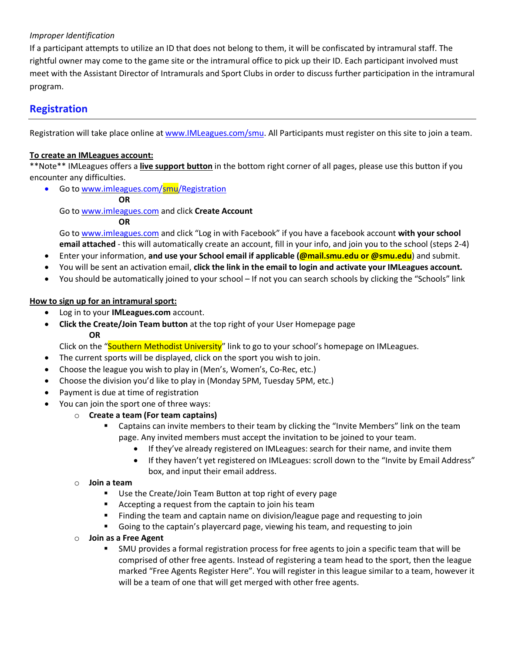#### *Improper Identification*

If a participant attempts to utilize an ID that does not belong to them, it will be confiscated by intramural staff. The rightful owner may come to the game site or the intramural office to pick up their ID. Each participant involved must meet with the Assistant Director of Intramurals and Sport Clubs in order to discuss further participation in the intramural program.

## **Registration**

Registration will take place online at www.IMLeagues.com/smu. All Participants must register on this site to join a team.

#### **To create an IMLeagues account:**

\*\*Note\*\* IMLeagues offers a **live support button** in the bottom right corner of all pages, please use this button if you encounter any difficulties.

#### • Go to www.imleagues.com/smu/Registration

**OR**

Go to www.imleagues.com and click **Create Account**

#### **OR**

Go to www.imleagues.com and click "Log in with Facebook" if you have a facebook account **with your school email attached** - this will automatically create an account, fill in your info, and join you to the school (steps 2-4)

- Enter your information, and use your School email if applicable (**@mail.smu.edu or @smu.edu**) and submit.
- You will be sent an activation email, **click the link in the email to login and activate your IMLeagues account.**
- You should be automatically joined to your school If not you can search schools by clicking the "Schools" link

#### **How to sign up for an intramural sport:**

- Log in to your **IMLeagues.com** account.
- **Click the Create/Join Team button** at the top right of your User Homepage page **OR**

Click on the "Southern Methodist University" link to go to your school's homepage on IMLeagues.

- The current sports will be displayed, click on the sport you wish to join.
- Choose the league you wish to play in (Men's, Women's, Co-Rec, etc.)
- Choose the division you'd like to play in (Monday 5PM, Tuesday 5PM, etc.)
- Payment is due at time of registration
- You can join the sport one of three ways:

#### o **Create a team (For team captains)**

- Captains can invite members to their team by clicking the "Invite Members" link on the team page. Any invited members must accept the invitation to be joined to your team.
	- If they've already registered on IMLeagues: search for their name, and invite them
	- If they haven't yet registered on IMLeagues: scroll down to the "Invite by Email Address" box, and input their email address.

#### o **Join a team**

- Use the Create/Join Team Button at top right of every page
- Accepting a request from the captain to join his team
- Finding the team and captain name on division/league page and requesting to join
- § Going to the captain's playercard page, viewing his team, and requesting to join
- o **Join as a Free Agent** 
	- § SMU provides a formal registration process for free agents to join a specific team that will be comprised of other free agents. Instead of registering a team head to the sport, then the league marked "Free Agents Register Here". You will register in this league similar to a team, however it will be a team of one that will get merged with other free agents.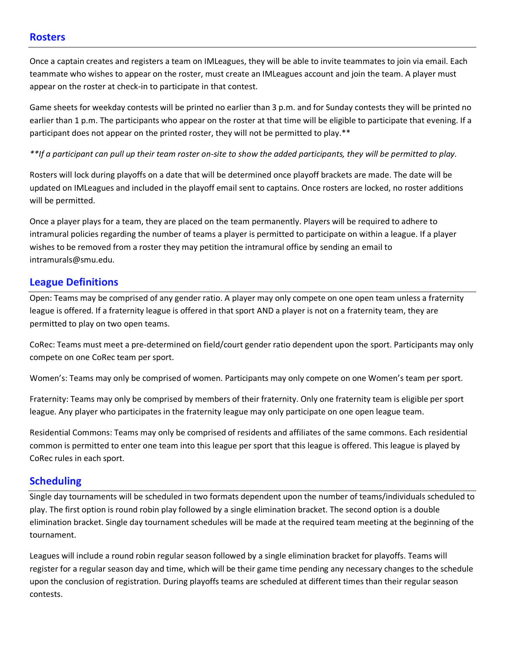## **Rosters**

Once a captain creates and registers a team on IMLeagues, they will be able to invite teammates to join via email. Each teammate who wishes to appear on the roster, must create an IMLeagues account and join the team. A player must appear on the roster at check-in to participate in that contest.

Game sheets for weekday contests will be printed no earlier than 3 p.m. and for Sunday contests they will be printed no earlier than 1 p.m. The participants who appear on the roster at that time will be eligible to participate that evening. If a participant does not appear on the printed roster, they will not be permitted to play.\*\*

*\*\*If a participant can pull up their team roster on-site to show the added participants, they will be permitted to play.*

Rosters will lock during playoffs on a date that will be determined once playoff brackets are made. The date will be updated on IMLeagues and included in the playoff email sent to captains. Once rosters are locked, no roster additions will be permitted.

Once a player plays for a team, they are placed on the team permanently. Players will be required to adhere to intramural policies regarding the number of teams a player is permitted to participate on within a league. If a player wishes to be removed from a roster they may petition the intramural office by sending an email to intramurals@smu.edu.

## **League Definitions**

Open: Teams may be comprised of any gender ratio. A player may only compete on one open team unless a fraternity league is offered. If a fraternity league is offered in that sport AND a player is not on a fraternity team, they are permitted to play on two open teams.

CoRec: Teams must meet a pre-determined on field/court gender ratio dependent upon the sport. Participants may only compete on one CoRec team per sport.

Women's: Teams may only be comprised of women. Participants may only compete on one Women's team per sport.

Fraternity: Teams may only be comprised by members of their fraternity. Only one fraternity team is eligible per sport league. Any player who participates in the fraternity league may only participate on one open league team.

Residential Commons: Teams may only be comprised of residents and affiliates of the same commons. Each residential common is permitted to enter one team into this league per sport that this league is offered. This league is played by CoRec rules in each sport.

## **Scheduling**

Single day tournaments will be scheduled in two formats dependent upon the number of teams/individuals scheduled to play. The first option is round robin play followed by a single elimination bracket. The second option is a double elimination bracket. Single day tournament schedules will be made at the required team meeting at the beginning of the tournament.

Leagues will include a round robin regular season followed by a single elimination bracket for playoffs. Teams will register for a regular season day and time, which will be their game time pending any necessary changes to the schedule upon the conclusion of registration. During playoffs teams are scheduled at different times than their regular season contests.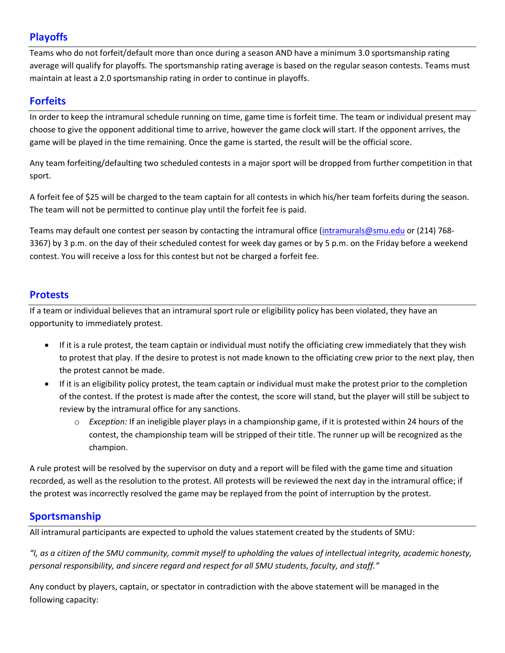# **Playoffs**

Teams who do not forfeit/default more than once during a season AND have a minimum 3.0 sportsmanship rating average will qualify for playoffs. The sportsmanship rating average is based on the regular season contests. Teams must maintain at least a 2.0 sportsmanship rating in order to continue in playoffs.

# **Forfeits**

In order to keep the intramural schedule running on time, game time is forfeit time. The team or individual present may choose to give the opponent additional time to arrive, however the game clock will start. If the opponent arrives, the game will be played in the time remaining. Once the game is started, the result will be the official score.

Any team forfeiting/defaulting two scheduled contests in a major sport will be dropped from further competition in that sport.

A forfeit fee of \$25 will be charged to the team captain for all contests in which his/her team forfeits during the season. The team will not be permitted to continue play until the forfeit fee is paid.

Teams may default one contest per season by contacting the intramural office (intramurals@smu.edu or (214) 768-3367) by 3 p.m. on the day of their scheduled contest for week day games or by 5 p.m. on the Friday before a weekend contest. You will receive a loss for this contest but not be charged a forfeit fee.

## **Protests**

If a team or individual believes that an intramural sport rule or eligibility policy has been violated, they have an opportunity to immediately protest.

- If it is a rule protest, the team captain or individual must notify the officiating crew immediately that they wish to protest that play. If the desire to protest is not made known to the officiating crew prior to the next play, then the protest cannot be made.
- If it is an eligibility policy protest, the team captain or individual must make the protest prior to the completion of the contest. If the protest is made after the contest, the score will stand, but the player will still be subject to review by the intramural office for any sanctions.
	- o *Exception:* If an ineligible player plays in a championship game, if it is protested within 24 hours of the contest, the championship team will be stripped of their title. The runner up will be recognized as the champion.

A rule protest will be resolved by the supervisor on duty and a report will be filed with the game time and situation recorded, as well as the resolution to the protest. All protests will be reviewed the next day in the intramural office; if the protest was incorrectly resolved the game may be replayed from the point of interruption by the protest.

# **Sportsmanship**

All intramural participants are expected to uphold the values statement created by the students of SMU:

*"I, as a citizen of the SMU community, commit myself to upholding the values of intellectual integrity, academic honesty, personal responsibility, and sincere regard and respect for all SMU students, faculty, and staff."*

Any conduct by players, captain, or spectator in contradiction with the above statement will be managed in the following capacity: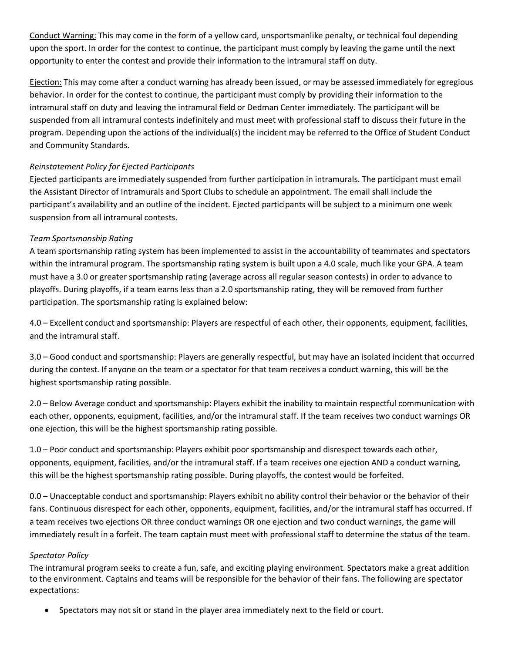Conduct Warning: This may come in the form of a yellow card, unsportsmanlike penalty, or technical foul depending upon the sport. In order for the contest to continue, the participant must comply by leaving the game until the next opportunity to enter the contest and provide their information to the intramural staff on duty.

Ejection: This may come after a conduct warning has already been issued, or may be assessed immediately for egregious behavior. In order for the contest to continue, the participant must comply by providing their information to the intramural staff on duty and leaving the intramural field or Dedman Center immediately. The participant will be suspended from all intramural contests indefinitely and must meet with professional staff to discuss their future in the program. Depending upon the actions of the individual(s) the incident may be referred to the Office of Student Conduct and Community Standards.

#### *Reinstatement Policy for Ejected Participants*

Ejected participants are immediately suspended from further participation in intramurals. The participant must email the Assistant Director of Intramurals and Sport Clubs to schedule an appointment. The email shall include the participant's availability and an outline of the incident. Ejected participants will be subject to a minimum one week suspension from all intramural contests.

## *Team Sportsmanship Rating*

A team sportsmanship rating system has been implemented to assist in the accountability of teammates and spectators within the intramural program. The sportsmanship rating system is built upon a 4.0 scale, much like your GPA. A team must have a 3.0 or greater sportsmanship rating (average across all regular season contests) in order to advance to playoffs. During playoffs, if a team earns less than a 2.0 sportsmanship rating, they will be removed from further participation. The sportsmanship rating is explained below:

4.0 – Excellent conduct and sportsmanship: Players are respectful of each other, their opponents, equipment, facilities, and the intramural staff.

3.0 – Good conduct and sportsmanship: Players are generally respectful, but may have an isolated incident that occurred during the contest. If anyone on the team or a spectator for that team receives a conduct warning, this will be the highest sportsmanship rating possible.

2.0 – Below Average conduct and sportsmanship: Players exhibit the inability to maintain respectful communication with each other, opponents, equipment, facilities, and/or the intramural staff. If the team receives two conduct warnings OR one ejection, this will be the highest sportsmanship rating possible.

1.0 – Poor conduct and sportsmanship: Players exhibit poor sportsmanship and disrespect towards each other, opponents, equipment, facilities, and/or the intramural staff. If a team receives one ejection AND a conduct warning, this will be the highest sportsmanship rating possible. During playoffs, the contest would be forfeited.

0.0 – Unacceptable conduct and sportsmanship: Players exhibit no ability control their behavior or the behavior of their fans. Continuous disrespect for each other, opponents, equipment, facilities, and/or the intramural staff has occurred. If a team receives two ejections OR three conduct warnings OR one ejection and two conduct warnings, the game will immediately result in a forfeit. The team captain must meet with professional staff to determine the status of the team.

## *Spectator Policy*

The intramural program seeks to create a fun, safe, and exciting playing environment. Spectators make a great addition to the environment. Captains and teams will be responsible for the behavior of their fans. The following are spectator expectations:

• Spectators may not sit or stand in the player area immediately next to the field or court.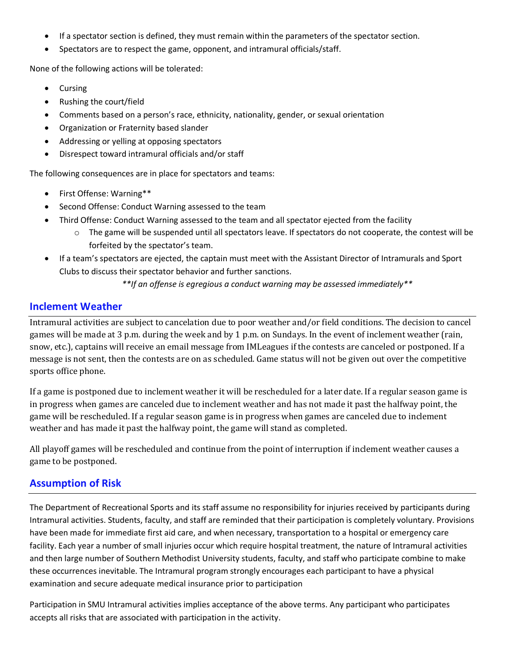- If a spectator section is defined, they must remain within the parameters of the spectator section.
- Spectators are to respect the game, opponent, and intramural officials/staff.

None of the following actions will be tolerated:

- Cursing
- Rushing the court/field
- Comments based on a person's race, ethnicity, nationality, gender, or sexual orientation
- Organization or Fraternity based slander
- Addressing or yelling at opposing spectators
- Disrespect toward intramural officials and/or staff

The following consequences are in place for spectators and teams:

- First Offense: Warning\*\*
- Second Offense: Conduct Warning assessed to the team
- Third Offense: Conduct Warning assessed to the team and all spectator ejected from the facility
	- $\circ$  The game will be suspended until all spectators leave. If spectators do not cooperate, the contest will be forfeited by the spectator's team.
- If a team's spectators are ejected, the captain must meet with the Assistant Director of Intramurals and Sport Clubs to discuss their spectator behavior and further sanctions.

*\*\*If an offense is egregious a conduct warning may be assessed immediately\*\**

## **Inclement Weather**

Intramural activities are subject to cancelation due to poor weather and/or field conditions. The decision to cancel games will be made at 3 p.m. during the week and by 1 p.m. on Sundays. In the event of inclement weather (rain, snow, etc.), captains will receive an email message from IMLeagues if the contests are canceled or postponed. If a message is not sent, then the contests are on as scheduled. Game status will not be given out over the competitive sports office phone.

If a game is postponed due to inclement weather it will be rescheduled for a later date. If a regular season game is in progress when games are canceled due to inclement weather and has not made it past the halfway point, the game will be rescheduled. If a regular season game is in progress when games are canceled due to inclement weather and has made it past the halfway point, the game will stand as completed.

All playoff games will be rescheduled and continue from the point of interruption if inclement weather causes a game to be postponed.

## **Assumption of Risk**

The Department of Recreational Sports and its staff assume no responsibility for injuries received by participants during Intramural activities. Students, faculty, and staff are reminded that their participation is completely voluntary. Provisions have been made for immediate first aid care, and when necessary, transportation to a hospital or emergency care facility. Each year a number of small injuries occur which require hospital treatment, the nature of Intramural activities and then large number of Southern Methodist University students, faculty, and staff who participate combine to make these occurrences inevitable. The Intramural program strongly encourages each participant to have a physical examination and secure adequate medical insurance prior to participation

Participation in SMU Intramural activities implies acceptance of the above terms. Any participant who participates accepts all risks that are associated with participation in the activity.